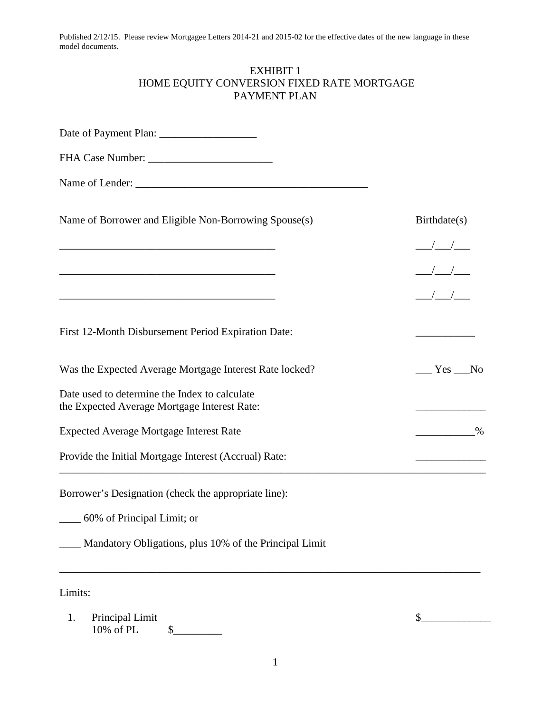## EXHIBIT 1 HOME EQUITY CONVERSION FIXED RATE MORTGAGE PAYMENT PLAN

| Name of Borrower and Eligible Non-Borrowing Spouse(s)                                                                | Birthdate(s)                                                                                                                                                                                                                                                                                                                                                                                                          |
|----------------------------------------------------------------------------------------------------------------------|-----------------------------------------------------------------------------------------------------------------------------------------------------------------------------------------------------------------------------------------------------------------------------------------------------------------------------------------------------------------------------------------------------------------------|
|                                                                                                                      |                                                                                                                                                                                                                                                                                                                                                                                                                       |
|                                                                                                                      |                                                                                                                                                                                                                                                                                                                                                                                                                       |
| <u> 1989 - Johann John Stone, mars eta bainar eta bainar eta baina eta baina eta baina eta baina eta baina eta b</u> | $\frac{1}{1-\frac{1}{1-\frac{1}{1-\frac{1}{1-\frac{1}{1-\frac{1}{1-\frac{1}{1-\frac{1}{1-\frac{1}{1-\frac{1}{1-\frac{1}{1-\frac{1}{1-\frac{1}{1-\frac{1}{1-\frac{1}{1-\frac{1}{1-\frac{1}{1-\frac{1}{1-\frac{1}{1-\frac{1}{1-\frac{1}{1-\frac{1}{1-\frac{1}{1-\frac{1}{1-\frac{1}{1-\frac{1}{1-\frac{1}{1-\frac{1}{1-\frac{1}{1-\frac{1}{1-\frac{1}{1-\frac{1}{1-\frac{1}{1-\frac{1}{1-\frac{1}{1-\frac{1}{1-\frac{1$ |
| First 12-Month Disbursement Period Expiration Date:                                                                  |                                                                                                                                                                                                                                                                                                                                                                                                                       |
| Was the Expected Average Mortgage Interest Rate locked?                                                              | $Yes$ No                                                                                                                                                                                                                                                                                                                                                                                                              |
| Date used to determine the Index to calculate<br>the Expected Average Mortgage Interest Rate:                        |                                                                                                                                                                                                                                                                                                                                                                                                                       |
| <b>Expected Average Mortgage Interest Rate</b>                                                                       | $\%$                                                                                                                                                                                                                                                                                                                                                                                                                  |
| Provide the Initial Mortgage Interest (Accrual) Rate:                                                                |                                                                                                                                                                                                                                                                                                                                                                                                                       |
| Borrower's Designation (check the appropriate line):                                                                 |                                                                                                                                                                                                                                                                                                                                                                                                                       |
| 60% of Principal Limit; or                                                                                           |                                                                                                                                                                                                                                                                                                                                                                                                                       |
| Mandatory Obligations, plus 10% of the Principal Limit                                                               |                                                                                                                                                                                                                                                                                                                                                                                                                       |
| Limits:                                                                                                              |                                                                                                                                                                                                                                                                                                                                                                                                                       |
| 1.<br>Principal Limit<br>10% of PL                                                                                   | \$                                                                                                                                                                                                                                                                                                                                                                                                                    |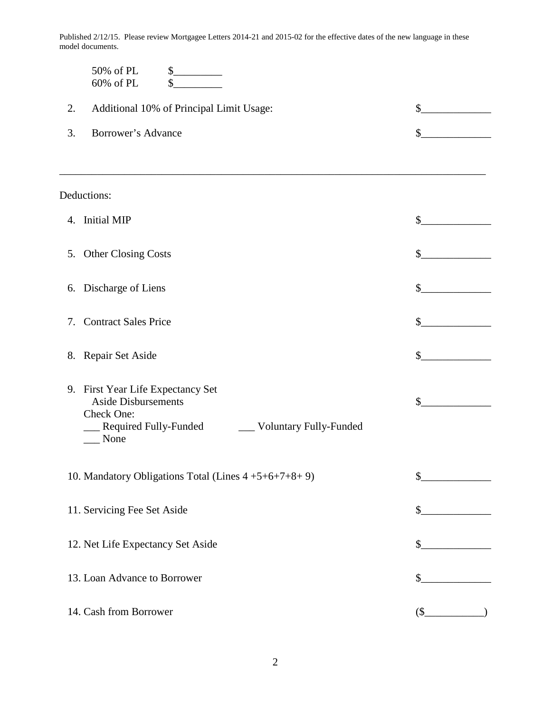|    | 50% of PL<br>\$<br>60% of PL<br>\$                                                                                                                     |               |
|----|--------------------------------------------------------------------------------------------------------------------------------------------------------|---------------|
| 2. | Additional 10% of Principal Limit Usage:                                                                                                               | \$            |
| 3. | Borrower's Advance                                                                                                                                     | \$            |
|    |                                                                                                                                                        |               |
|    | Deductions:                                                                                                                                            |               |
|    | 4. Initial MIP                                                                                                                                         | \$            |
| 5. | <b>Other Closing Costs</b>                                                                                                                             | \$            |
|    | 6. Discharge of Liens                                                                                                                                  | \$            |
| 7. | <b>Contract Sales Price</b>                                                                                                                            | \$            |
|    | 8. Repair Set Aside                                                                                                                                    | \$            |
|    | 9. First Year Life Expectancy Set<br><b>Aside Disbursements</b><br>Check One:<br><b>Required Fully-Funded</b><br><b>Voluntary Fully-Funded</b><br>None | \$            |
|    | 10. Mandatory Obligations Total (Lines 4+5+6+7+8+9)                                                                                                    | \$            |
|    | 11. Servicing Fee Set Aside                                                                                                                            | $\frac{1}{2}$ |
|    | 12. Net Life Expectancy Set Aside                                                                                                                      | \$            |
|    | 13. Loan Advance to Borrower                                                                                                                           | \$            |
|    | 14. Cash from Borrower                                                                                                                                 | $$_$          |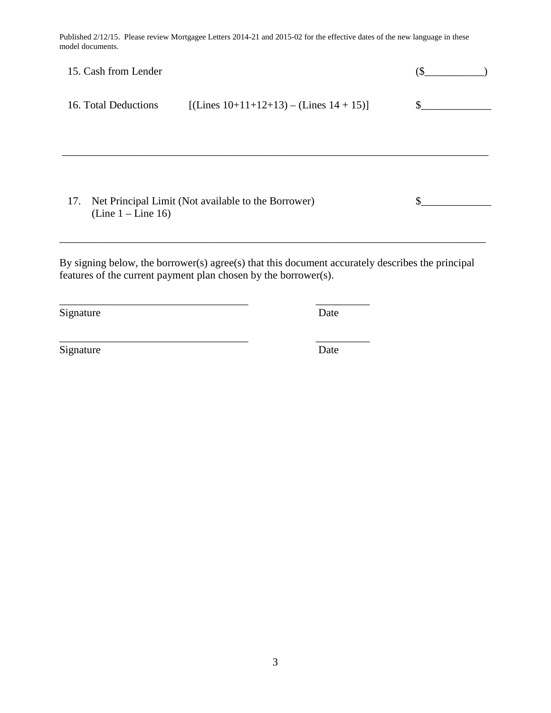| 15. Cash from Lender                                                               |                                               |     |
|------------------------------------------------------------------------------------|-----------------------------------------------|-----|
| 16. Total Deductions                                                               | [(Lines $10+11+12+13$ ) – (Lines $14 + 15$ )] | \$. |
|                                                                                    |                                               |     |
|                                                                                    |                                               |     |
|                                                                                    |                                               |     |
| Net Principal Limit (Not available to the Borrower)<br>17.<br>$(Line 1 - Line 16)$ |                                               |     |
|                                                                                    |                                               |     |

By signing below, the borrower(s) agree(s) that this document accurately describes the principal features of the current payment plan chosen by the borrower(s).

\_\_\_\_\_\_\_\_\_\_\_\_\_\_\_\_\_\_\_\_\_\_\_\_\_\_\_\_\_\_\_\_\_\_\_ \_\_\_\_\_\_\_\_\_\_

\_\_\_\_\_\_\_\_\_\_\_\_\_\_\_\_\_\_\_\_\_\_\_\_\_\_\_\_\_\_\_\_\_\_\_ \_\_\_\_\_\_\_\_\_\_

Signature Date

Signature Date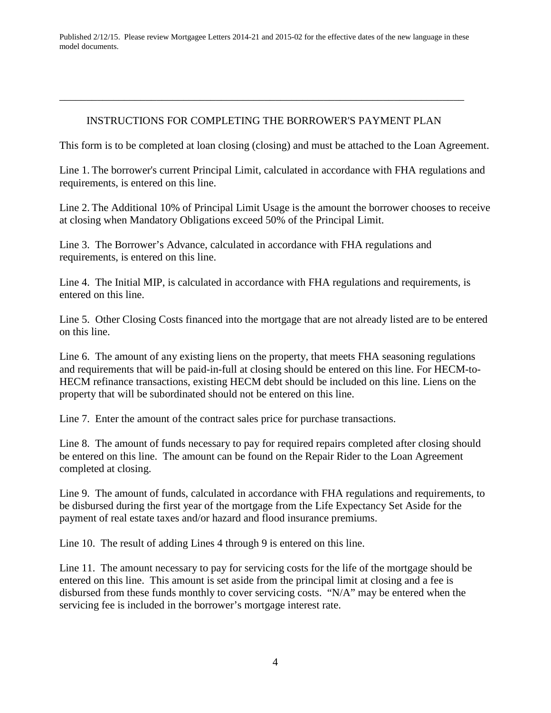## INSTRUCTIONS FOR COMPLETING THE BORROWER'S PAYMENT PLAN

\_\_\_\_\_\_\_\_\_\_\_\_\_\_\_\_\_\_\_\_\_\_\_\_\_\_\_\_\_\_\_\_\_\_\_\_\_\_\_\_\_\_\_\_\_\_\_\_\_\_\_\_\_\_\_\_\_\_\_\_\_\_\_\_\_\_\_\_\_\_\_\_\_\_\_

This form is to be completed at loan closing (closing) and must be attached to the Loan Agreement.

Line 1. The borrower's current Principal Limit, calculated in accordance with FHA regulations and requirements, is entered on this line.

Line 2. The Additional 10% of Principal Limit Usage is the amount the borrower chooses to receive at closing when Mandatory Obligations exceed 50% of the Principal Limit.

Line 3. The Borrower's Advance, calculated in accordance with FHA regulations and requirements, is entered on this line.

Line 4. The Initial MIP, is calculated in accordance with FHA regulations and requirements, is entered on this line.

Line 5. Other Closing Costs financed into the mortgage that are not already listed are to be entered on this line.

Line 6. The amount of any existing liens on the property, that meets FHA seasoning regulations and requirements that will be paid-in-full at closing should be entered on this line. For HECM-to-HECM refinance transactions, existing HECM debt should be included on this line. Liens on the property that will be subordinated should not be entered on this line.

Line 7. Enter the amount of the contract sales price for purchase transactions.

Line 8. The amount of funds necessary to pay for required repairs completed after closing should be entered on this line. The amount can be found on the Repair Rider to the Loan Agreement completed at closing.

Line 9. The amount of funds, calculated in accordance with FHA regulations and requirements, to be disbursed during the first year of the mortgage from the Life Expectancy Set Aside for the payment of real estate taxes and/or hazard and flood insurance premiums.

Line 10. The result of adding Lines 4 through 9 is entered on this line.

Line 11. The amount necessary to pay for servicing costs for the life of the mortgage should be entered on this line. This amount is set aside from the principal limit at closing and a fee is disbursed from these funds monthly to cover servicing costs. "N/A" may be entered when the servicing fee is included in the borrower's mortgage interest rate.